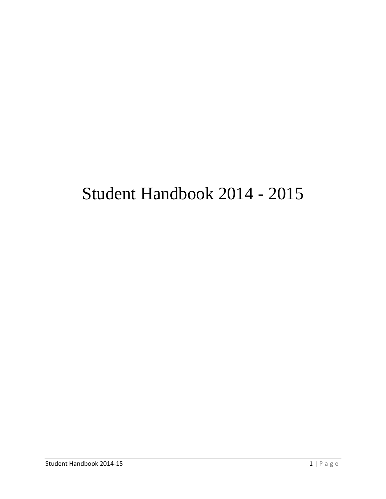# Student Handbook 2014 - 2015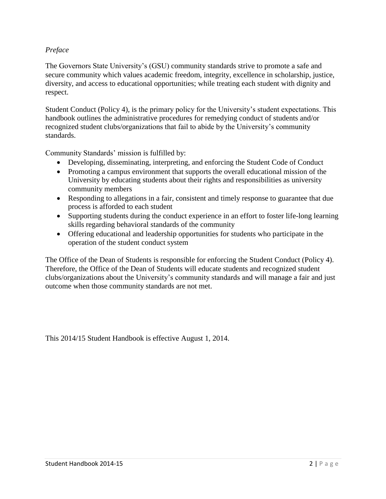#### *Preface*

The Governors State University's (GSU) community standards strive to promote a safe and secure community which values academic freedom, integrity, excellence in scholarship, justice, diversity, and access to educational opportunities; while treating each student with dignity and respect.

Student Conduct (Policy 4), is the primary policy for the University's student expectations. This handbook outlines the administrative procedures for remedying conduct of students and/or recognized student clubs/organizations that fail to abide by the University's community standards.

Community Standards' mission is fulfilled by:

- Developing, disseminating, interpreting, and enforcing the Student Code of Conduct
- Promoting a campus environment that supports the overall educational mission of the University by educating students about their rights and responsibilities as university community members
- Responding to allegations in a fair, consistent and timely response to guarantee that due process is afforded to each student
- Supporting students during the conduct experience in an effort to foster life-long learning skills regarding behavioral standards of the community
- Offering educational and leadership opportunities for students who participate in the operation of the student conduct system

The Office of the Dean of Students is responsible for enforcing the Student Conduct (Policy 4). Therefore, the Office of the Dean of Students will educate students and recognized student clubs/organizations about the University's community standards and will manage a fair and just outcome when those community standards are not met.

This 2014/15 Student Handbook is effective August 1, 2014.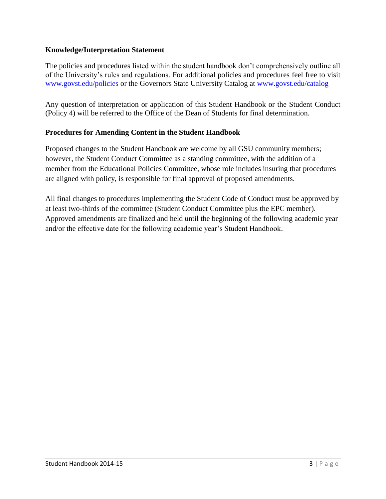#### **Knowledge/Interpretation Statement**

The policies and procedures listed within the student handbook don't comprehensively outline all of the University's rules and regulations. For additional policies and procedures feel free to visit [www.govst.edu/policies](http://www.govst.edu/policies) or the Governors State University Catalog at [www.govst.edu/catalog](http://www.govst.edu/catalog)

Any question of interpretation or application of this Student Handbook or the Student Conduct (Policy 4) will be referred to the Office of the Dean of Students for final determination.

#### **Procedures for Amending Content in the Student Handbook**

Proposed changes to the Student Handbook are welcome by all GSU community members; however, the Student Conduct Committee as a standing committee, with the addition of a member from the Educational Policies Committee, whose role includes insuring that procedures are aligned with policy, is responsible for final approval of proposed amendments.

All final changes to procedures implementing the Student Code of Conduct must be approved by at least two-thirds of the committee (Student Conduct Committee plus the EPC member). Approved amendments are finalized and held until the beginning of the following academic year and/or the effective date for the following academic year's Student Handbook.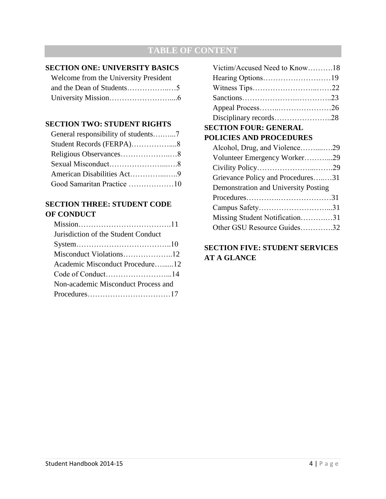## **TABLE OF CONTENT**

#### **SECTION ONE: UNIVERSITY BASICS**

| Welcome from the University President |  |
|---------------------------------------|--|
|                                       |  |
|                                       |  |

#### **SECTION TWO: STUDENT RIGHTS**

| General responsibility of students7 |  |
|-------------------------------------|--|
| Student Records (FERPA)8            |  |
|                                     |  |
|                                     |  |
| American Disabilities Act9          |  |
| Good Samaritan Practice 10          |  |

#### **SECTION THREE: STUDENT CODE OF CONDUCT**

| Jurisdiction of the Student Conduct |  |
|-------------------------------------|--|
|                                     |  |
|                                     |  |
| Academic Misconduct Procedure12     |  |
|                                     |  |
| Non-academic Misconduct Process and |  |
|                                     |  |
|                                     |  |

| Victim/Accused Need to Know18        |  |
|--------------------------------------|--|
|                                      |  |
|                                      |  |
|                                      |  |
|                                      |  |
| Disciplinary records28               |  |
| <b>SECTION FOUR: GENERAL</b>         |  |
| <b>POLICIES AND PROCEDURES</b>       |  |
| Alcohol, Drug, and Violence29        |  |
| Volunteer Emergency Worker29         |  |
|                                      |  |
| Grievance Policy and Procedures31    |  |
| Demonstration and University Posting |  |
|                                      |  |
|                                      |  |
| Missing Student Notification31       |  |
| Other GSU Resource Guides32          |  |
|                                      |  |

## **SECTION FIVE: STUDENT SERVICES AT A GLANCE**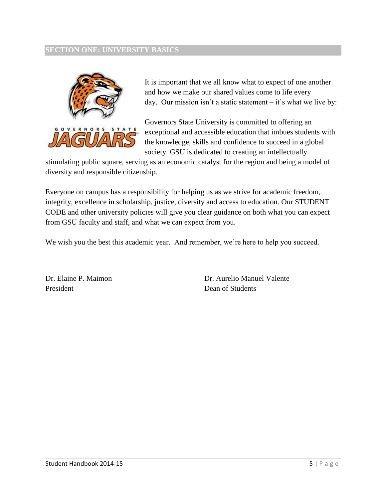#### **SECTION ONE: UNIVERSITY BASICS**



It is important that we all know what to expect of one another and how we make our shared values come to life every day. Our mission isn't a static statement – it's what we live by:

Governors State University is committed to offering an exceptional and accessible education that imbues students with the knowledge, skills and confidence to succeed in a global society. GSU is dedicated to creating an intellectually

stimulating public square, serving as an economic catalyst for the region and being a model of diversity and responsible citizenship.

Everyone on campus has a responsibility for helping us as we strive for academic freedom, integrity, excellence in scholarship, justice, diversity and access to education. Our STUDENT CODE and other university policies will give you clear guidance on both what you can expect from GSU faculty and staff, and what we can expect from you.

We wish you the best this academic year. And remember, we're here to help you succeed.

Dr. Elaine P. Maimon President

Dr. Aurelio Manuel Valente Dean of Students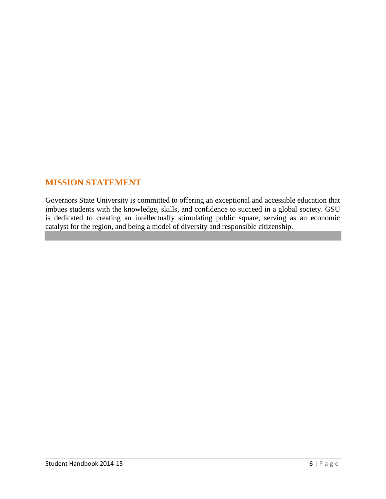## **MISSION STATEMENT**

Governors State University is committed to offering an exceptional and accessible education that imbues students with the knowledge, skills, and confidence to succeed in a global society. GSU is dedicated to creating an intellectually stimulating public square, serving as an economic catalyst for the region, and being a model of diversity and responsible citizenship.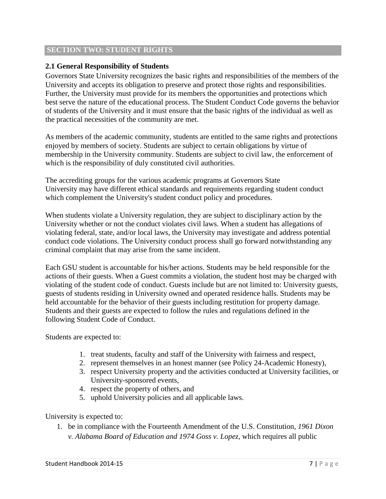#### **SECTION TWO: STUDENT RIGHTS**

#### **2.1 General Responsibility of Students**

Governors State University recognizes the basic rights and responsibilities of the members of the University and accepts its obligation to preserve and protect those rights and responsibilities. Further, the University must provide for its members the opportunities and protections which best serve the nature of the educational process. The Student Conduct Code governs the behavior of students of the University and it must ensure that the basic rights of the individual as well as the practical necessities of the community are met.

As members of the academic community, students are entitled to the same rights and protections enjoyed by members of society. Students are subject to certain obligations by virtue of membership in the University community. Students are subject to civil law, the enforcement of which is the responsibility of duly constituted civil authorities.

The accrediting groups for the various academic programs at Governors State University may have different ethical standards and requirements regarding student conduct which complement the University's student conduct policy and procedures.

When students violate a University regulation, they are subject to disciplinary action by the University whether or not the conduct violates civil laws. When a student has allegations of violating federal, state, and/or local laws, the University may investigate and address potential conduct code violations. The University conduct process shall go forward notwithstanding any criminal complaint that may arise from the same incident.

Each GSU student is accountable for his/her actions. Students may be held responsible for the actions of their guests. When a Guest commits a violation, the student host may be charged with violating of the student code of conduct. Guests include but are not limited to: University guests, guests of students residing in University owned and operated residence halls. Students may be held accountable for the behavior of their guests including restitution for property damage. Students and their guests are expected to follow the rules and regulations defined in the following Student Code of Conduct.

Students are expected to:

- 1. treat students, faculty and staff of the University with fairness and respect,
- 2. represent themselves in an honest manner (see Policy 24-Academic Honesty),
- 3. respect University property and the activities conducted at University facilities, or University-sponsored events,
- 4. respect the property of others, and
- 5. uphold University policies and all applicable laws.

University is expected to:

1. be in compliance with the Fourteenth Amendment of the U.S. Constitution, *1961 Dixon v. Alabama Board of Education and 1974 Goss v. Lopez*, which requires all public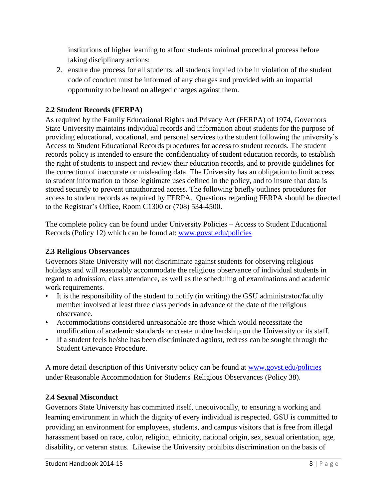institutions of higher learning to afford students minimal procedural process before taking disciplinary actions;

2. ensure due process for all students: all students implied to be in violation of the student code of conduct must be informed of any charges and provided with an impartial opportunity to be heard on alleged charges against them.

## **2.2 Student Records (FERPA)**

As required by the Family Educational Rights and Privacy Act (FERPA) of 1974, Governors State University maintains individual records and information about students for the purpose of providing educational, vocational, and personal services to the student following the university's Access to Student Educational Records procedures for access to student records. The student records policy is intended to ensure the confidentiality of student education records, to establish the right of students to inspect and review their education records, and to provide guidelines for the correction of inaccurate or misleading data. The University has an obligation to limit access to student information to those legitimate uses defined in the policy, and to insure that data is stored securely to prevent unauthorized access. The following briefly outlines procedures for access to student records as required by FERPA. Questions regarding FERPA should be directed to the Registrar's Office, Room C1300 or (708) 534-4500.

The complete policy can be found under University Policies – Access to Student Educational Records (Policy 12) which can be found at: [www.govst.edu/policies](http://www.govst.edu/policies)

## **2.3 Religious Observances**

Governors State University will not discriminate against students for observing religious holidays and will reasonably accommodate the religious observance of individual students in regard to admission, class attendance, as well as the scheduling of examinations and academic work requirements.

- It is the responsibility of the student to notify (in writing) the GSU administrator/faculty member involved at least three class periods in advance of the date of the religious observance.
- Accommodations considered unreasonable are those which would necessitate the modification of academic standards or create undue hardship on the University or its staff.
- If a student feels he/she has been discriminated against, redress can be sought through the Student Grievance Procedure.

A more detail description of this University policy can be found at [www.govst.edu/policies](http://www.govst.edu/policies) under Reasonable Accommodation for Students' Religious Observances (Policy 38).

## **2.4 Sexual Misconduct**

Governors State University has committed itself, unequivocally, to ensuring a working and learning environment in which the dignity of every individual is respected. GSU is committed to providing an environment for employees, students, and campus visitors that is free from illegal harassment based on race, color, religion, ethnicity, national origin, sex, sexual orientation, age, disability, or veteran status. Likewise the University prohibits discrimination on the basis of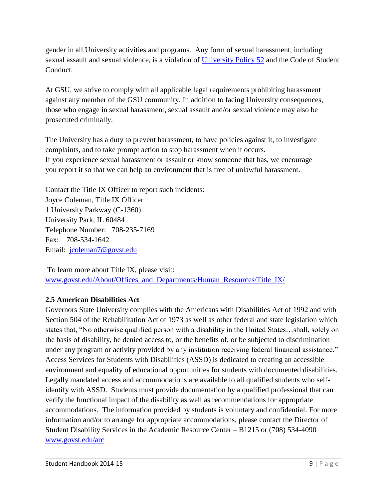gender in all University activities and programs. Any form of sexual harassment, including sexual assault and sexual violence, is a violation of [University Policy 52](http://www.govst.edu/policies/) and the Code of Student Conduct.

At GSU, we strive to comply with all applicable legal requirements prohibiting harassment against any member of the GSU community. In addition to facing University consequences, those who engage in sexual harassment, sexual assault and/or sexual violence may also be prosecuted criminally.

The University has a duty to prevent harassment, to have policies against it, to investigate complaints, and to take prompt action to stop harassment when it occurs. If you experience sexual harassment or assault or know someone that has, we encourage you report it so that we can help an environment that is free of unlawful harassment.

Contact the Title IX Officer to report such incidents: Joyce Coleman, Title IX Officer 1 University Parkway (C-1360) University Park, IL 60484 Telephone Number: 708-235-7169 Fax: 708-534-1642 Email: [jcoleman7@govst.edu](mailto:jcoleman7@govst.edu)

To learn more about Title IX, please visit: [www.govst.edu/About/Offices\\_and\\_Departments/Human\\_Resources/Title\\_IX/](http://www.govst.edu/About/Offices_and_Departments/Human_Resources/Title_IX/)

## **2.5 American Disabilities Act**

Governors State University complies with the Americans with Disabilities Act of 1992 and with Section 504 of the Rehabilitation Act of 1973 as well as other federal and state legislation which states that, "No otherwise qualified person with a disability in the United States…shall, solely on the basis of disability, be denied access to, or the benefits of, or be subjected to discrimination under any program or activity provided by any institution receiving federal financial assistance." Access Services for Students with Disabilities (ASSD) is dedicated to creating an accessible environment and equality of educational opportunities for students with documented disabilities. Legally mandated access and accommodations are available to all qualified students who selfidentify with ASSD. Students must provide documentation by a qualified professional that can verify the functional impact of the disability as well as recommendations for appropriate accommodations. The information provided by students is voluntary and confidential. For more information and/or to arrange for appropriate accommodations, please contact the Director of Student Disability Services in the Academic Resource Center – B1215 or (708) 534-4090 [www.govst.edu/arc](http://www.govst.edu/arc)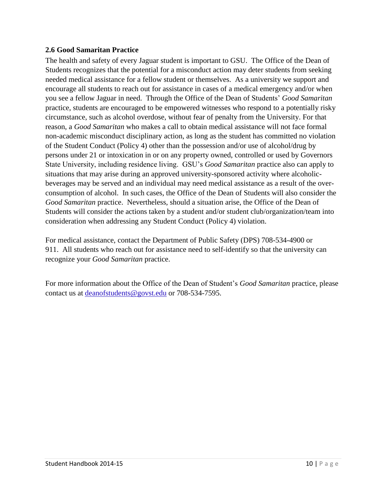#### **2.6 Good Samaritan Practice**

The health and safety of every Jaguar student is important to GSU. The Office of the Dean of Students recognizes that the potential for a misconduct action may deter students from seeking needed medical assistance for a fellow student or themselves. As a university we support and encourage all students to reach out for assistance in cases of a medical emergency and/or when you see a fellow Jaguar in need. Through the Office of the Dean of Students' *Good Samaritan* practice, students are encouraged to be empowered witnesses who respond to a potentially risky circumstance, such as alcohol overdose, without fear of penalty from the University. For that reason, a *Good Samaritan* who makes a call to obtain medical assistance will not face formal non-academic misconduct disciplinary action, as long as the student has committed no violation of the Student Conduct (Policy 4) other than the possession and/or use of alcohol/drug by persons under 21 or intoxication in or on any property owned, controlled or used by Governors State University, including residence living. GSU's *Good Samaritan* practice also can apply to situations that may arise during an approved university-sponsored activity where alcoholicbeverages may be served and an individual may need medical assistance as a result of the overconsumption of alcohol. In such cases, the Office of the Dean of Students will also consider the *Good Samaritan* practice. Nevertheless, should a situation arise, the Office of the Dean of Students will consider the actions taken by a student and/or student club/organization/team into consideration when addressing any Student Conduct (Policy 4) violation.

For medical assistance, contact the Department of Public Safety (DPS) 708-534-4900 or 911. All students who reach out for assistance need to self-identify so that the university can recognize your *Good Samaritan* practice.

For more information about the Office of the Dean of Student's *Good Samaritan* practice, please contact us at [deanofstudents@govst.edu](mailto:deanofstudents@govst.edu) or 708-534-7595.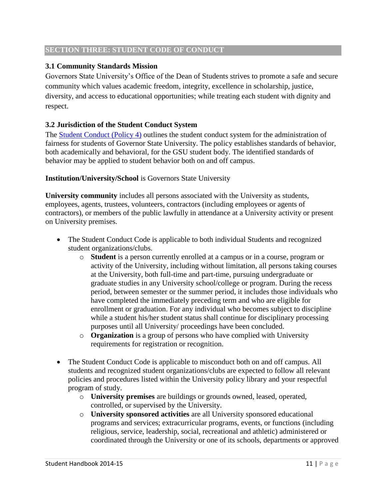#### **SECTION THREE: STUDENT CODE OF CONDUCT**

## **3.1 Community Standards Mission**

Governors State University's Office of the Dean of Students strives to promote a safe and secure community which values academic freedom, integrity, excellence in scholarship, justice, diversity, and access to educational opportunities; while treating each student with dignity and respect.

## **3.2 Jurisdiction of the Student Conduct System**

The [Student Conduct \(Policy 4\)](http://www.govst.edu/policies/) outlines the student conduct system for the administration of fairness for students of Governor State University. The policy establishes standards of behavior, both academically and behavioral, for the GSU student body. The identified standards of behavior may be applied to student behavior both on and off campus.

## **Institution/University/School** is Governors State University

**University community** includes all persons associated with the University as students, employees, agents, trustees, volunteers, contractors (including employees or agents of contractors), or members of the public lawfully in attendance at a University activity or present on University premises.

- The Student Conduct Code is applicable to both individual Students and recognized student organizations/clubs.
	- o **Student** is a person currently enrolled at a campus or in a course, program or activity of the University, including without limitation, all persons taking courses at the University, both full-time and part-time, pursuing undergraduate or graduate studies in any University school/college or program. During the recess period, between semester or the summer period, it includes those individuals who have completed the immediately preceding term and who are eligible for enrollment or graduation. For any individual who becomes subject to discipline while a student his/her student status shall continue for disciplinary processing purposes until all University/ proceedings have been concluded.
	- o **Organization** is a group of persons who have complied with University requirements for registration or recognition.
- The Student Conduct Code is applicable to misconduct both on and off campus. All students and recognized student organizations/clubs are expected to follow all relevant policies and procedures listed within the University policy library and your respectful program of study.
	- o **University premises** are buildings or grounds owned, leased, operated, controlled, or supervised by the University.
	- o **University sponsored activities** are all University sponsored educational programs and services; extracurricular programs, events, or functions (including religious, service, leadership, social, recreational and athletic) administered or coordinated through the University or one of its schools, departments or approved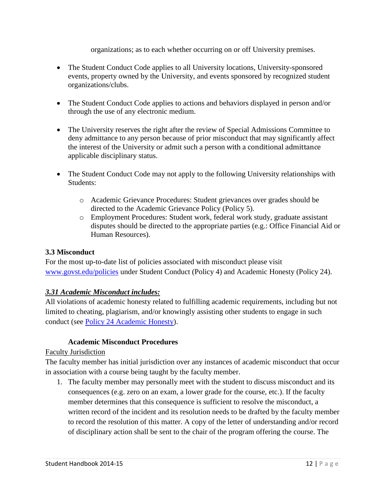organizations; as to each whether occurring on or off University premises.

- The Student Conduct Code applies to all University locations, University-sponsored events, property owned by the University, and events sponsored by recognized student organizations/clubs.
- The Student Conduct Code applies to actions and behaviors displayed in person and/or through the use of any electronic medium.
- The University reserves the right after the review of Special Admissions Committee to deny admittance to any person because of prior misconduct that may significantly affect the interest of the University or admit such a person with a conditional admittance applicable disciplinary status.
- The Student Conduct Code may not apply to the following University relationships with Students:
	- o Academic Grievance Procedures: Student grievances over grades should be directed to the Academic Grievance Policy (Policy 5).
	- o Employment Procedures: Student work, federal work study, graduate assistant disputes should be directed to the appropriate parties (e.g.: Office Financial Aid or Human Resources).

## **3.3 Misconduct**

For the most up-to-date list of policies associated with misconduct please visit [www.govst.edu/policies](http://www.govst.edu/policies) under Student Conduct (Policy 4) and Academic Honesty (Policy 24).

#### *3.31 Academic Misconduct includes:*

All violations of academic honesty related to fulfilling academic requirements, including but not limited to cheating, plagiarism, and/or knowingly assisting other students to engage in such conduct (see [Policy 24 Academic Honesty\)](http://www.govst.edu/policies/).

#### **Academic Misconduct Procedures**

#### Faculty Jurisdiction

The faculty member has initial jurisdiction over any instances of academic misconduct that occur in association with a course being taught by the faculty member.

1. The faculty member may personally meet with the student to discuss misconduct and its consequences (e.g. zero on an exam, a lower grade for the course, etc.). If the faculty member determines that this consequence is sufficient to resolve the misconduct, a written record of the incident and its resolution needs to be drafted by the faculty member to record the resolution of this matter. A copy of the letter of understanding and/or record of disciplinary action shall be sent to the chair of the program offering the course. The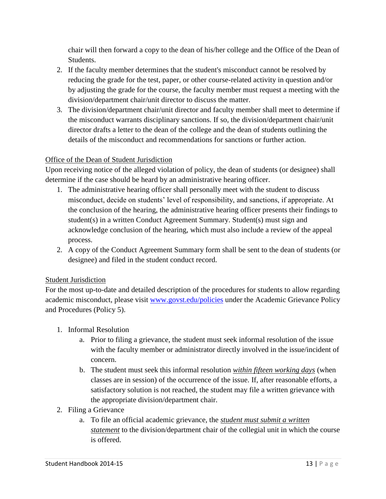chair will then forward a copy to the dean of his/her college and the Office of the Dean of Students.

- 2. If the faculty member determines that the student's misconduct cannot be resolved by reducing the grade for the test, paper, or other course-related activity in question and/or by adjusting the grade for the course, the faculty member must request a meeting with the division/department chair/unit director to discuss the matter.
- 3. The division/department chair/unit director and faculty member shall meet to determine if the misconduct warrants disciplinary sanctions. If so, the division/department chair/unit director drafts a letter to the dean of the college and the dean of students outlining the details of the misconduct and recommendations for sanctions or further action.

## Office of the Dean of Student Jurisdiction

Upon receiving notice of the alleged violation of policy, the dean of students (or designee) shall determine if the case should be heard by an administrative hearing officer.

- 1. The administrative hearing officer shall personally meet with the student to discuss misconduct, decide on students' level of responsibility, and sanctions, if appropriate. At the conclusion of the hearing, the administrative hearing officer presents their findings to student(s) in a written Conduct Agreement Summary. Student(s) must sign and acknowledge conclusion of the hearing, which must also include a review of the appeal process.
- 2. A copy of the Conduct Agreement Summary form shall be sent to the dean of students (or designee) and filed in the student conduct record.

## Student Jurisdiction

For the most up-to-date and detailed description of the procedures for students to allow regarding academic misconduct, please visit [www.govst.edu/policies](http://www.govst.edu/policies) under the Academic Grievance Policy and Procedures (Policy 5).

- 1. Informal Resolution
	- a. Prior to filing a grievance, the student must seek informal resolution of the issue with the faculty member or administrator directly involved in the issue/incident of concern.
	- b. The student must seek this informal resolution *within fifteen working days* (when classes are in session) of the occurrence of the issue. If, after reasonable efforts, a satisfactory solution is not reached, the student may file a written grievance with the appropriate division/department chair.
- 2. Filing a Grievance
	- a. To file an official academic grievance, the *student must submit a written statement* to the division/department chair of the collegial unit in which the course is offered.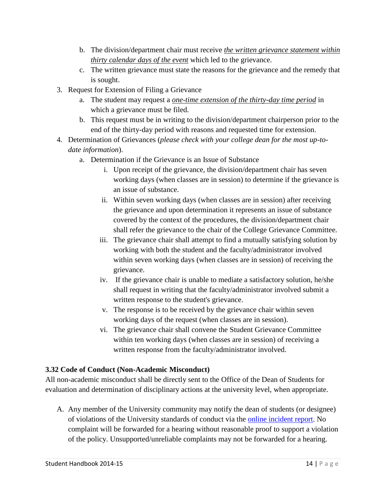- b. The division/department chair must receive *the written grievance statement within thirty calendar days of the event* which led to the grievance.
- c. The written grievance must state the reasons for the grievance and the remedy that is sought.
- 3. Request for Extension of Filing a Grievance
	- a. The student may request a *one-time extension of the thirty-day time period* in which a grievance must be filed.
	- b. This request must be in writing to the division/department chairperson prior to the end of the thirty-day period with reasons and requested time for extension.
- 4. Determination of Grievances (*please check with your college dean for the most up-todate information*).
	- a. Determination if the Grievance is an Issue of Substance
		- i. Upon receipt of the grievance, the division/department chair has seven working days (when classes are in session) to determine if the grievance is an issue of substance.
		- ii. Within seven working days (when classes are in session) after receiving the grievance and upon determination it represents an issue of substance covered by the context of the procedures, the division/department chair shall refer the grievance to the chair of the College Grievance Committee.
		- iii. The grievance chair shall attempt to find a mutually satisfying solution by working with both the student and the faculty/administrator involved within seven working days (when classes are in session) of receiving the grievance.
		- iv. If the grievance chair is unable to mediate a satisfactory solution, he/she shall request in writing that the faculty/administrator involved submit a written response to the student's grievance.
		- v. The response is to be received by the grievance chair within seven working days of the request (when classes are in session).
		- vi. The grievance chair shall convene the Student Grievance Committee within ten working days (when classes are in session) of receiving a written response from the faculty/administrator involved.

## **3.32 Code of Conduct (Non-Academic Misconduct)**

All non-academic misconduct shall be directly sent to the Office of the Dean of Students for evaluation and determination of disciplinary actions at the university level, when appropriate.

A. Any member of the University community may notify the dean of students (or designee) of violations of the University standards of conduct via the [online incident report.](http://www.govst.edu/studentconduct.aspx) No complaint will be forwarded for a hearing without reasonable proof to support a violation of the policy. Unsupported/unreliable complaints may not be forwarded for a hearing.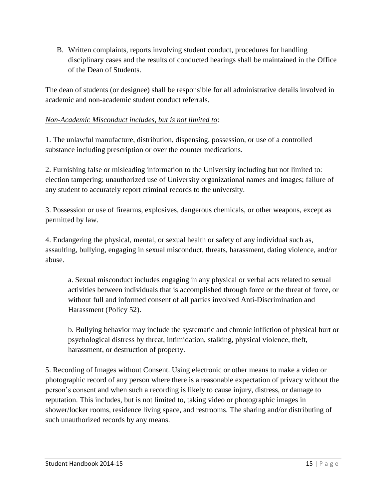B. Written complaints, reports involving student conduct, procedures for handling disciplinary cases and the results of conducted hearings shall be maintained in the Office of the Dean of Students.

The dean of students (or designee) shall be responsible for all administrative details involved in academic and non-academic student conduct referrals.

## *Non-Academic Misconduct includes, but is not limited to*:

1. The unlawful manufacture, distribution, dispensing, possession, or use of a controlled substance including prescription or over the counter medications.

2. Furnishing false or misleading information to the University including but not limited to: election tampering; unauthorized use of University organizational names and images; failure of any student to accurately report criminal records to the university.

3. Possession or use of firearms, explosives, dangerous chemicals, or other weapons, except as permitted by law.

4. Endangering the physical, mental, or sexual health or safety of any individual such as, assaulting, bullying, engaging in sexual misconduct, threats, harassment, dating violence, and/or abuse.

a. Sexual misconduct includes engaging in any physical or verbal acts related to sexual activities between individuals that is accomplished through force or the threat of force, or without full and informed consent of all parties involved Anti-Discrimination and Harassment (Policy 52).

b. Bullying behavior may include the systematic and chronic infliction of physical hurt or psychological distress by threat, intimidation, stalking, physical violence, theft, harassment, or destruction of property.

5. Recording of Images without Consent. Using electronic or other means to make a video or photographic record of any person where there is a reasonable expectation of privacy without the person's consent and when such a recording is likely to cause injury, distress, or damage to reputation. This includes, but is not limited to, taking video or photographic images in shower/locker rooms, residence living space, and restrooms. The sharing and/or distributing of such unauthorized records by any means.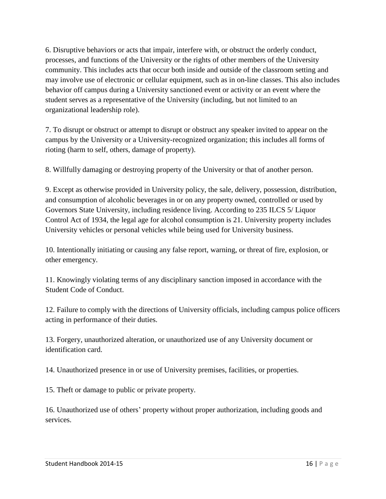6. Disruptive behaviors or acts that impair, interfere with, or obstruct the orderly conduct, processes, and functions of the University or the rights of other members of the University community. This includes acts that occur both inside and outside of the classroom setting and may involve use of electronic or cellular equipment, such as in on-line classes. This also includes behavior off campus during a University sanctioned event or activity or an event where the student serves as a representative of the University (including, but not limited to an organizational leadership role).

7. To disrupt or obstruct or attempt to disrupt or obstruct any speaker invited to appear on the campus by the University or a University-recognized organization; this includes all forms of rioting (harm to self, others, damage of property).

8. Willfully damaging or destroying property of the University or that of another person.

9. Except as otherwise provided in University policy, the sale, delivery, possession, distribution, and consumption of alcoholic beverages in or on any property owned, controlled or used by Governors State University, including residence living. According to 235 ILCS 5/ Liquor Control Act of 1934, the legal age for alcohol consumption is 21. University property includes University vehicles or personal vehicles while being used for University business.

10. Intentionally initiating or causing any false report, warning, or threat of fire, explosion, or other emergency.

11. Knowingly violating terms of any disciplinary sanction imposed in accordance with the Student Code of Conduct.

12. Failure to comply with the directions of University officials, including campus police officers acting in performance of their duties.

13. Forgery, unauthorized alteration, or unauthorized use of any University document or identification card.

14. Unauthorized presence in or use of University premises, facilities, or properties.

15. Theft or damage to public or private property.

16. Unauthorized use of others' property without proper authorization, including goods and services.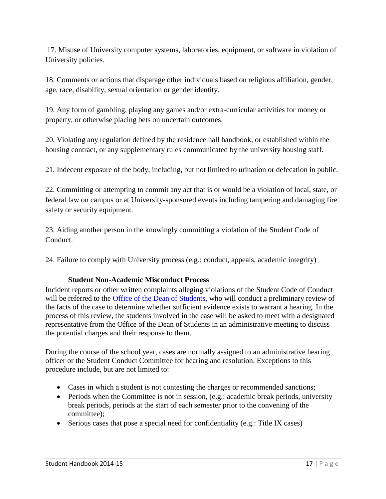17. Misuse of University computer systems, laboratories, equipment, or software in violation of University policies.

18. Comments or actions that disparage other individuals based on religious affiliation, gender, age, race, disability, sexual orientation or gender identity.

19. Any form of gambling, playing any games and/or extra-curricular activities for money or property, or otherwise placing bets on uncertain outcomes.

20. Violating any regulation defined by the residence hall handbook, or established within the housing contract, or any supplementary rules communicated by the university housing staff.

21. Indecent exposure of the body, including, but not limited to urination or defecation in public.

22. Committing or attempting to commit any act that is or would be a violation of local, state, or federal law on campus or at University-sponsored events including tampering and damaging fire safety or security equipment.

23. Aiding another person in the knowingly committing a violation of the Student Code of Conduct.

24. Failure to comply with University process (e.g.: conduct, appeals, academic integrity)

## **Student Non-Academic Misconduct Process**

Incident reports or other written complaints alleging violations of the Student Code of Conduct will be referred to the [Office of the Dean of Students,](http://www.govst.edu/dos) who will conduct a preliminary review of the facts of the case to determine whether sufficient evidence exists to warrant a hearing. In the process of this review, the students involved in the case will be asked to meet with a designated representative from the Office of the Dean of Students in an administrative meeting to discuss the potential charges and their response to them.

During the course of the school year, cases are normally assigned to an administrative hearing officer or the Student Conduct Committee for hearing and resolution. Exceptions to this procedure include, but are not limited to:

- Cases in which a student is not contesting the charges or recommended sanctions;
- $\bullet$  Periods when the Committee is not in session, (e.g.: academic break periods, university break periods, periods at the start of each semester prior to the convening of the committee);
- Serious cases that pose a special need for confidentiality (e.g.: Title IX cases)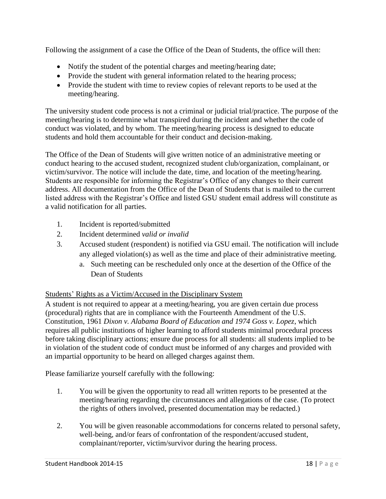Following the assignment of a case the Office of the Dean of Students, the office will then:

- Notify the student of the potential charges and meeting/hearing date;
- Provide the student with general information related to the hearing process;
- Provide the student with time to review copies of relevant reports to be used at the meeting/hearing.

The university student code process is not a criminal or judicial trial/practice. The purpose of the meeting/hearing is to determine what transpired during the incident and whether the code of conduct was violated, and by whom. The meeting/hearing process is designed to educate students and hold them accountable for their conduct and decision-making.

The Office of the Dean of Students will give written notice of an administrative meeting or conduct hearing to the accused student, recognized student club/organization, complainant, or victim/survivor. The notice will include the date, time, and location of the meeting/hearing. Students are responsible for informing the Registrar's Office of any changes to their current address. All documentation from the Office of the Dean of Students that is mailed to the current listed address with the Registrar's Office and listed GSU student email address will constitute as a valid notification for all parties.

- 1. Incident is reported/submitted
- 2. Incident determined *valid or invalid*
- 3. Accused student (respondent) is notified via GSU email. The notification will include any alleged violation(s) as well as the time and place of their administrative meeting.
	- a. Such meeting can be rescheduled only once at the desertion of the Office of the Dean of Students

#### Students' Rights as a Victim/Accused in the Disciplinary System

A student is not required to appear at a meeting/hearing, you are given certain due process (procedural) rights that are in compliance with the Fourteenth Amendment of the U.S. Constitution, 1961 *Dixon v. Alabama Board of Education and 1974 Goss v. Lopez*, which requires all public institutions of higher learning to afford students minimal procedural process before taking disciplinary actions; ensure due process for all students: all students implied to be in violation of the student code of conduct must be informed of any charges and provided with an impartial opportunity to be heard on alleged charges against them.

Please familiarize yourself carefully with the following:

- 1. You will be given the opportunity to read all written reports to be presented at the meeting/hearing regarding the circumstances and allegations of the case. (To protect the rights of others involved, presented documentation may be redacted.)
- 2. You will be given reasonable accommodations for concerns related to personal safety, well-being, and/or fears of confrontation of the respondent/accused student, complainant/reporter, victim/survivor during the hearing process.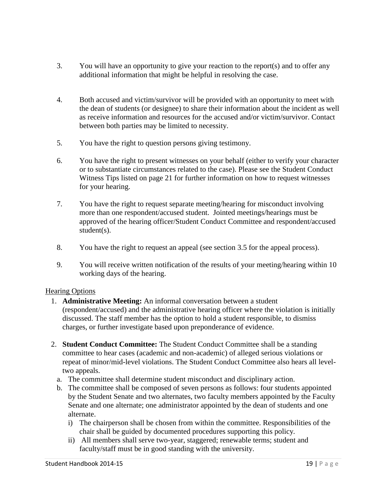- 3. You will have an opportunity to give your reaction to the report(s) and to offer any additional information that might be helpful in resolving the case.
- 4. Both accused and victim/survivor will be provided with an opportunity to meet with the dean of students (or designee) to share their information about the incident as well as receive information and resources for the accused and/or victim/survivor. Contact between both parties may be limited to necessity.
- 5. You have the right to question persons giving testimony.
- 6. You have the right to present witnesses on your behalf (either to verify your character or to substantiate circumstances related to the case). Please see the Student Conduct Witness Tips listed on page 21 for further information on how to request witnesses for your hearing.
- 7. You have the right to request separate meeting/hearing for misconduct involving more than one respondent/accused student. Jointed meetings/hearings must be approved of the hearing officer/Student Conduct Committee and respondent/accused student(s).
- 8. You have the right to request an appeal (see section 3.5 for the appeal process).
- 9. You will receive written notification of the results of your meeting/hearing within 10 working days of the hearing.

#### Hearing Options

- 1. **Administrative Meeting:** An informal conversation between a student (respondent/accused) and the administrative hearing officer where the violation is initially discussed. The staff member has the option to hold a student responsible, to dismiss charges, or further investigate based upon preponderance of evidence.
- 2. **Student Conduct Committee:** The Student Conduct Committee shall be a standing committee to hear cases (academic and non-academic) of alleged serious violations or repeat of minor/mid-level violations. The Student Conduct Committee also hears all leveltwo appeals.
	- a. The committee shall determine student misconduct and disciplinary action.
	- b. The committee shall be composed of seven persons as follows: four students appointed by the Student Senate and two alternates, two faculty members appointed by the Faculty Senate and one alternate; one administrator appointed by the dean of students and one alternate.
		- i) The chairperson shall be chosen from within the committee. Responsibilities of the chair shall be guided by documented procedures supporting this policy.
		- ii) All members shall serve two-year, staggered; renewable terms; student and faculty/staff must be in good standing with the university.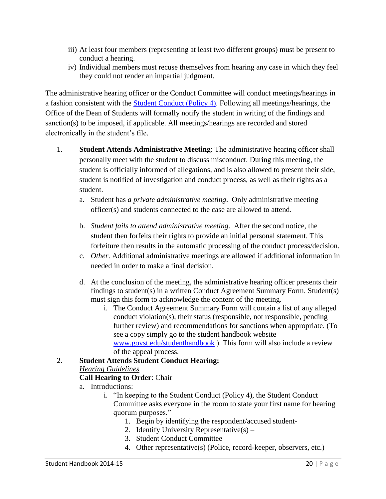- iii) At least four members (representing at least two different groups) must be present to conduct a hearing.
- iv) Individual members must recuse themselves from hearing any case in which they feel they could not render an impartial judgment.

The administrative hearing officer or the Conduct Committee will conduct meetings/hearings in a fashion consistent with the [Student Conduct \(Policy 4\)](http://www.govst.edu/policies/). Following all meetings/hearings, the Office of the Dean of Students will formally notify the student in writing of the findings and sanction(s) to be imposed, if applicable. All meetings/hearings are recorded and stored electronically in the student's file.

- 1. **Student Attends Administrative Meeting**: The administrative hearing officer shall personally meet with the student to discuss misconduct. During this meeting, the student is officially informed of allegations, and is also allowed to present their side, student is notified of investigation and conduct process, as well as their rights as a student.
	- a. Student has *a private administrative meeting*. Only administrative meeting officer(s) and students connected to the case are allowed to attend.
	- b. *Student fails to attend administrative meeting*. After the second notice, the student then forfeits their rights to provide an initial personal statement. This forfeiture then results in the automatic processing of the conduct process/decision.
	- c. *Other*. Additional administrative meetings are allowed if additional information in needed in order to make a final decision.
	- d. At the conclusion of the meeting, the administrative hearing officer presents their findings to student(s) in a written Conduct Agreement Summary Form. Student(s) must sign this form to acknowledge the content of the meeting.
		- i. The Conduct Agreement Summary Form will contain a list of any alleged conduct violation(s), their status (responsible, not responsible, pending further review) and recommendations for sanctions when appropriate. (To see a copy simply go to the student handbook website [www.govst.edu/studenthandbook](http://www.govst.edu/studenthandbook) ). This form will also include a review of the appeal process.

# 2. **Student Attends Student Conduct Hearing:**

## *Hearing Guidelines*

## **Call Hearing to Order**: Chair

- a. Introductions:
	- i. "In keeping to the Student Conduct (Policy 4), the Student Conduct Committee asks everyone in the room to state your first name for hearing quorum purposes."
		- 1. Begin by identifying the respondent/accused student-
		- 2. Identify University Representative(s) –
		- 3. Student Conduct Committee –
		- 4. Other representative(s) (Police, record-keeper, observers, etc.) –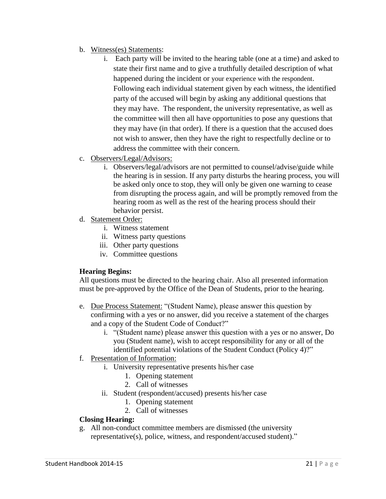- b. Witness(es) Statements:
	- i. Each party will be invited to the hearing table (one at a time) and asked to state their first name and to give a truthfully detailed description of what happened during the incident or your experience with the respondent. Following each individual statement given by each witness, the identified party of the accused will begin by asking any additional questions that they may have. The respondent, the university representative, as well as the committee will then all have opportunities to pose any questions that they may have (in that order). If there is a question that the accused does not wish to answer, then they have the right to respectfully decline or to address the committee with their concern.
- c. Observers/Legal/Advisors:
	- i. Observers/legal/advisors are not permitted to counsel/advise/guide while the hearing is in session. If any party disturbs the hearing process, you will be asked only once to stop, they will only be given one warning to cease from disrupting the process again, and will be promptly removed from the hearing room as well as the rest of the hearing process should their behavior persist.
- d. Statement Order:
	- i. Witness statement
	- ii. Witness party questions
	- iii. Other party questions
	- iv. Committee questions

#### **Hearing Begins:**

All questions must be directed to the hearing chair. Also all presented information must be pre-approved by the Office of the Dean of Students, prior to the hearing.

- e. Due Process Statement: "(Student Name), please answer this question by confirming with a yes or no answer, did you receive a statement of the charges and a copy of the Student Code of Conduct?"
	- i. "(Student name) please answer this question with a yes or no answer, Do you (Student name), wish to accept responsibility for any or all of the identified potential violations of the Student Conduct (Policy 4)?"

#### f. Presentation of Information:

- i. University representative presents his/her case
	- 1. Opening statement
	- 2. Call of witnesses
- ii. Student (respondent/accused) presents his/her case
	- 1. Opening statement
	- 2. Call of witnesses

#### **Closing Hearing:**

g. All non-conduct committee members are dismissed (the university representative(s), police, witness, and respondent/accused student)."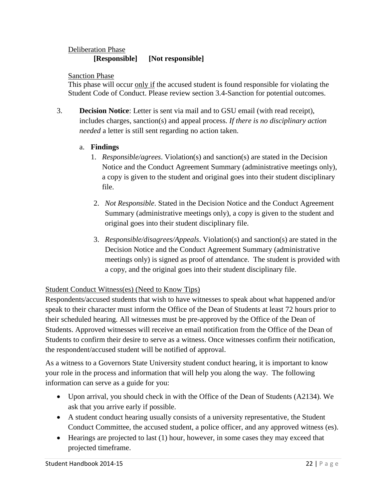## Deliberation Phase

## **[Responsible] [Not responsible]**

Sanction Phase

This phase will occur only if the accused student is found responsible for violating the Student Code of Conduct. Please review section 3.4-Sanction for potential outcomes.

3. **Decision Notice**: Letter is sent via mail and to GSU email (with read receipt), includes charges, sanction(s) and appeal process*. If there is no disciplinary action needed* a letter is still sent regarding no action taken.

#### a. **Findings**

- 1. *Responsible/agrees*. Violation(s) and sanction(s) are stated in the Decision Notice and the Conduct Agreement Summary (administrative meetings only), a copy is given to the student and original goes into their student disciplinary file.
- 2. *Not Responsible*. Stated in the Decision Notice and the Conduct Agreement Summary (administrative meetings only), a copy is given to the student and original goes into their student disciplinary file.
- 3. *Responsible/disagrees/Appeals*. Violation(s) and sanction(s) are stated in the Decision Notice and the Conduct Agreement Summary (administrative meetings only) is signed as proof of attendance. The student is provided with a copy, and the original goes into their student disciplinary file.

## Student Conduct Witness(es) (Need to Know Tips)

Respondents/accused students that wish to have witnesses to speak about what happened and/or speak to their character must inform the Office of the Dean of Students at least 72 hours prior to their scheduled hearing. All witnesses must be pre-approved by the Office of the Dean of Students. Approved witnesses will receive an email notification from the Office of the Dean of Students to confirm their desire to serve as a witness. Once witnesses confirm their notification, the respondent/accused student will be notified of approval.

As a witness to a Governors State University student conduct hearing, it is important to know your role in the process and information that will help you along the way. The following information can serve as a guide for you:

- Upon arrival, you should check in with the Office of the Dean of Students (A2134). We ask that you arrive early if possible.
- A student conduct hearing usually consists of a university representative, the Student Conduct Committee, the accused student, a police officer, and any approved witness (es).
- $\bullet$  Hearings are projected to last  $(1)$  hour, however, in some cases they may exceed that projected timeframe.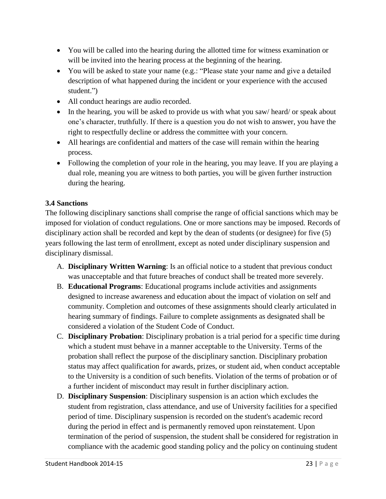- You will be called into the hearing during the allotted time for witness examination or will be invited into the hearing process at the beginning of the hearing.
- You will be asked to state your name (e.g.: "Please state your name and give a detailed description of what happened during the incident or your experience with the accused student.")
- All conduct hearings are audio recorded.
- In the hearing, you will be asked to provide us with what you saw/ heard/ or speak about one's character, truthfully. If there is a question you do not wish to answer, you have the right to respectfully decline or address the committee with your concern.
- All hearings are confidential and matters of the case will remain within the hearing process.
- Following the completion of your role in the hearing, you may leave. If you are playing a dual role, meaning you are witness to both parties, you will be given further instruction during the hearing.

## **3.4 Sanctions**

The following disciplinary sanctions shall comprise the range of official sanctions which may be imposed for violation of conduct regulations. One or more sanctions may be imposed. Records of disciplinary action shall be recorded and kept by the dean of students (or designee) for five (5) years following the last term of enrollment, except as noted under disciplinary suspension and disciplinary dismissal.

- A. **Disciplinary Written Warning**: Is an official notice to a student that previous conduct was unacceptable and that future breaches of conduct shall be treated more severely.
- B. **Educational Programs**: Educational programs include activities and assignments designed to increase awareness and education about the impact of violation on self and community. Completion and outcomes of these assignments should clearly articulated in hearing summary of findings. Failure to complete assignments as designated shall be considered a violation of the Student Code of Conduct.
- C. **Disciplinary Probation**: Disciplinary probation is a trial period for a specific time during which a student must behave in a manner acceptable to the University. Terms of the probation shall reflect the purpose of the disciplinary sanction. Disciplinary probation status may affect qualification for awards, prizes, or student aid, when conduct acceptable to the University is a condition of such benefits. Violation of the terms of probation or of a further incident of misconduct may result in further disciplinary action.
- D. **Disciplinary Suspension**: Disciplinary suspension is an action which excludes the student from registration, class attendance, and use of University facilities for a specified period of time. Disciplinary suspension is recorded on the student's academic record during the period in effect and is permanently removed upon reinstatement. Upon termination of the period of suspension, the student shall be considered for registration in compliance with the academic good standing policy and the policy on continuing student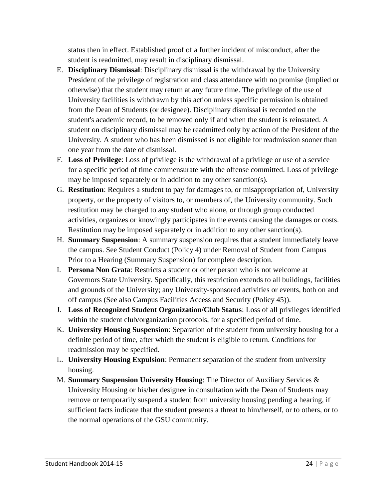status then in effect. Established proof of a further incident of misconduct, after the student is readmitted, may result in disciplinary dismissal.

- E. **Disciplinary Dismissal**: Disciplinary dismissal is the withdrawal by the University President of the privilege of registration and class attendance with no promise (implied or otherwise) that the student may return at any future time. The privilege of the use of University facilities is withdrawn by this action unless specific permission is obtained from the Dean of Students (or designee). Disciplinary dismissal is recorded on the student's academic record, to be removed only if and when the student is reinstated. A student on disciplinary dismissal may be readmitted only by action of the President of the University. A student who has been dismissed is not eligible for readmission sooner than one year from the date of dismissal.
- F. **Loss of Privilege**: Loss of privilege is the withdrawal of a privilege or use of a service for a specific period of time commensurate with the offense committed. Loss of privilege may be imposed separately or in addition to any other sanction(s).
- G. **Restitution**: Requires a student to pay for damages to, or misappropriation of, University property, or the property of visitors to, or members of, the University community. Such restitution may be charged to any student who alone, or through group conducted activities, organizes or knowingly participates in the events causing the damages or costs. Restitution may be imposed separately or in addition to any other sanction(s).
- H. **Summary Suspension**: A summary suspension requires that a student immediately leave the campus. See Student Conduct (Policy 4) under Removal of Student from Campus Prior to a Hearing (Summary Suspension) for complete description.
- I. **Persona Non Grata**: Restricts a student or other person who is not welcome at Governors State University. Specifically, this restriction extends to all buildings, facilities and grounds of the University; any University-sponsored activities or events, both on and off campus (See also Campus Facilities Access and Security (Policy 45)).
- J. **Loss of Recognized Student Organization/Club Status**: Loss of all privileges identified within the student club/organization protocols, for a specified period of time.
- K. **University Housing Suspension**: Separation of the student from university housing for a definite period of time, after which the student is eligible to return. Conditions for readmission may be specified.
- L. **University Housing Expulsion**: Permanent separation of the student from university housing.
- M. **Summary Suspension University Housing**: The Director of Auxiliary Services & University Housing or his/her designee in consultation with the Dean of Students may remove or temporarily suspend a student from university housing pending a hearing, if sufficient facts indicate that the student presents a threat to him/herself, or to others, or to the normal operations of the GSU community.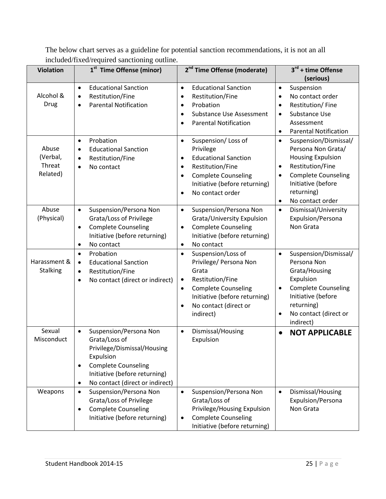The below chart serves as a guideline for potential sanction recommendations, it is not an all included/fixed/required sanctioning outline.

| <b>Violation</b>                        | 1 <sup>st</sup> Time Offense (minor)                                                                                                                                                                                         | 2 <sup>nd</sup> Time Offense (moderate)                                                                                                                                                                                                | $3^{rd}$ + time Offense<br>(serious)                                                                                                                                                                                                  |
|-----------------------------------------|------------------------------------------------------------------------------------------------------------------------------------------------------------------------------------------------------------------------------|----------------------------------------------------------------------------------------------------------------------------------------------------------------------------------------------------------------------------------------|---------------------------------------------------------------------------------------------------------------------------------------------------------------------------------------------------------------------------------------|
| Alcohol &<br>Drug                       | <b>Educational Sanction</b><br>$\bullet$<br>Restitution/Fine<br>$\bullet$<br><b>Parental Notification</b><br>$\bullet$                                                                                                       | <b>Educational Sanction</b><br>$\bullet$<br>Restitution/Fine<br>$\bullet$<br>Probation<br>$\bullet$<br><b>Substance Use Assessment</b><br><b>Parental Notification</b><br>$\bullet$                                                    | Suspension<br>$\bullet$<br>No contact order<br>$\bullet$<br>Restitution/Fine<br>$\bullet$<br>Substance Use<br>Assessment<br><b>Parental Notification</b><br>$\bullet$                                                                 |
| Abuse<br>(Verbal,<br>Threat<br>Related) | Probation<br>$\bullet$<br><b>Educational Sanction</b><br>$\bullet$<br>Restitution/Fine<br>$\bullet$<br>No contact<br>$\bullet$                                                                                               | Suspension/Loss of<br>$\bullet$<br>Privilege<br><b>Educational Sanction</b><br>$\bullet$<br>Restitution/Fine<br>$\bullet$<br><b>Complete Counseling</b><br>$\bullet$<br>Initiative (before returning)<br>No contact order<br>$\bullet$ | Suspension/Dismissal/<br>$\bullet$<br>Persona Non Grata/<br><b>Housing Expulsion</b><br>Restitution/Fine<br>$\bullet$<br><b>Complete Counseling</b><br>$\bullet$<br>Initiative (before<br>returning)<br>No contact order<br>$\bullet$ |
| Abuse<br>(Physical)                     | Suspension/Persona Non<br>$\bullet$<br>Grata/Loss of Privilege<br><b>Complete Counseling</b><br>$\bullet$<br>Initiative (before returning)<br>No contact<br>$\bullet$                                                        | Suspension/Persona Non<br>$\bullet$<br>Grata/University Expulsion<br><b>Complete Counseling</b><br>$\bullet$<br>Initiative (before returning)<br>No contact<br>$\bullet$                                                               | Dismissal/University<br>$\bullet$<br>Expulsion/Persona<br>Non Grata                                                                                                                                                                   |
| Harassment &<br><b>Stalking</b>         | Probation<br>$\bullet$<br><b>Educational Sanction</b><br>$\bullet$<br>Restitution/Fine<br>$\bullet$<br>No contact (direct or indirect)<br>$\bullet$                                                                          | Suspension/Loss of<br>$\bullet$<br>Privilege/ Persona Non<br>Grata<br>Restitution/Fine<br>$\bullet$<br><b>Complete Counseling</b><br>$\bullet$<br>Initiative (before returning)<br>No contact (direct or<br>$\bullet$<br>indirect)     | Suspension/Dismissal/<br>$\bullet$<br>Persona Non<br>Grata/Housing<br>Expulsion<br><b>Complete Counseling</b><br>Initiative (before<br>returning)<br>No contact (direct or<br>$\bullet$<br>indirect)                                  |
| Sexual<br>Misconduct                    | Suspension/Persona Non<br>$\bullet$<br>Grata/Loss of<br>Privilege/Dismissal/Housing<br>Expulsion<br><b>Complete Counseling</b><br>$\bullet$<br>Initiative (before returning)<br>No contact (direct or indirect)<br>$\bullet$ | Dismissal/Housing<br>$\bullet$<br>Expulsion                                                                                                                                                                                            | <b>NOT APPLICABLE</b><br>$\bullet$                                                                                                                                                                                                    |
| Weapons                                 | Suspension/Persona Non<br>$\bullet$<br>Grata/Loss of Privilege<br><b>Complete Counseling</b><br>$\bullet$<br>Initiative (before returning)                                                                                   | Suspension/Persona Non<br>$\bullet$<br>Grata/Loss of<br>Privilege/Housing Expulsion<br><b>Complete Counseling</b><br>$\bullet$<br>Initiative (before returning)                                                                        | Dismissal/Housing<br>$\bullet$<br>Expulsion/Persona<br>Non Grata                                                                                                                                                                      |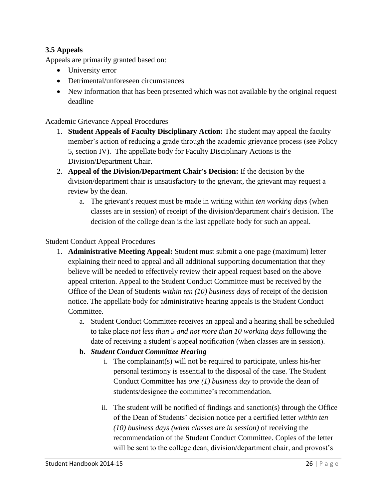## **3.5 Appeals**

Appeals are primarily granted based on:

- University error
- Detrimental/unforeseen circumstances
- New information that has been presented which was not available by the original request deadline

#### Academic Grievance Appeal Procedures

- 1. **Student Appeals of Faculty Disciplinary Action:** The student may appeal the faculty member's action of reducing a grade through the academic grievance process (see Policy 5, section IV). The appellate body for Faculty Disciplinary Actions is the Division/Department Chair.
- 2. **Appeal of the Division/Department Chair's Decision:** If the decision by the division/department chair is unsatisfactory to the grievant, the grievant may request a review by the dean.
	- a. The grievant's request must be made in writing within *ten working days* (when classes are in session) of receipt of the division/department chair's decision. The decision of the college dean is the last appellate body for such an appeal.

#### Student Conduct Appeal Procedures

- 1. **Administrative Meeting Appeal:** Student must submit a one page (maximum) letter explaining their need to appeal and all additional supporting documentation that they believe will be needed to effectively review their appeal request based on the above appeal criterion. Appeal to the Student Conduct Committee must be received by the Office of the Dean of Students *within ten (10) business days* of receipt of the decision notice. The appellate body for administrative hearing appeals is the Student Conduct Committee.
	- a. Student Conduct Committee receives an appeal and a hearing shall be scheduled to take place *not less than 5 and not more than 10 working days* following the date of receiving a student's appeal notification (when classes are in session).
	- **b.** *Student Conduct Committee Hearing*
		- i. The complainant(s) will not be required to participate, unless his/her personal testimony is essential to the disposal of the case. The Student Conduct Committee has *one (1) business day* to provide the dean of students/designee the committee's recommendation.
		- ii. The student will be notified of findings and sanction(s) through the Office of the Dean of Students' decision notice per a certified letter *within ten (10) business days (when classes are in session)* of receiving the recommendation of the Student Conduct Committee. Copies of the letter will be sent to the college dean, division/department chair, and provost's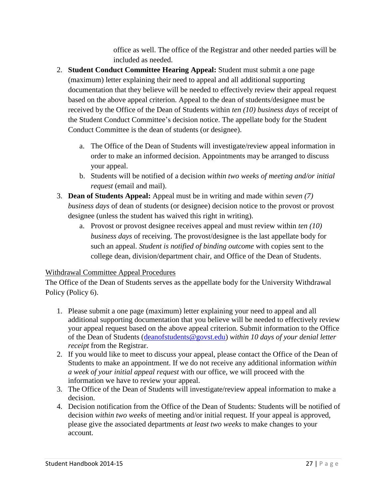office as well. The office of the Registrar and other needed parties will be included as needed.

- 2. **Student Conduct Committee Hearing Appeal:** Student must submit a one page (maximum) letter explaining their need to appeal and all additional supporting documentation that they believe will be needed to effectively review their appeal request based on the above appeal criterion. Appeal to the dean of students/designee must be received by the Office of the Dean of Students within *ten (10) business days* of receipt of the Student Conduct Committee's decision notice. The appellate body for the Student Conduct Committee is the dean of students (or designee).
	- a. The Office of the Dean of Students will investigate/review appeal information in order to make an informed decision. Appointments may be arranged to discuss your appeal.
	- b. Students will be notified of a decision *within two weeks of meeting and/or initial request* (email and mail).
- 3. **Dean of Students Appeal:** Appeal must be in writing and made within *seven (7) business days* of dean of students (or designee) decision notice to the provost or provost designee (unless the student has waived this right in writing).
	- a. Provost or provost designee receives appeal and must review within *ten (10) business days* of receiving. The provost/designee is the last appellate body for such an appeal. *Student is notified of binding outcome* with copies sent to the college dean, division/department chair, and Office of the Dean of Students.

## Withdrawal Committee Appeal Procedures

The Office of the Dean of Students serves as the appellate body for the University Withdrawal Policy (Policy 6).

- 1. Please submit a one page (maximum) letter explaining your need to appeal and all additional supporting documentation that you believe will be needed to effectively review your appeal request based on the above appeal criterion. Submit information to the Office of the Dean of Students [\(deanofstudents@govst.edu\)](mailto:deanofstudents@govst.edu) *within 10 days of your denial letter receipt* from the Registrar.
- 2. If you would like to meet to discuss your appeal, please contact the Office of the Dean of Students to make an appointment. If we do not receive any additional information *within a week of your initial appeal request* with our office, we will proceed with the information we have to review your appeal.
- 3. The Office of the Dean of Students will investigate/review appeal information to make a decision.
- 4. Decision notification from the Office of the Dean of Students: Students will be notified of decision *within two weeks* of meeting and/or initial request*.* If your appeal is approved, please give the associated departments *at least two weeks* to make changes to your account.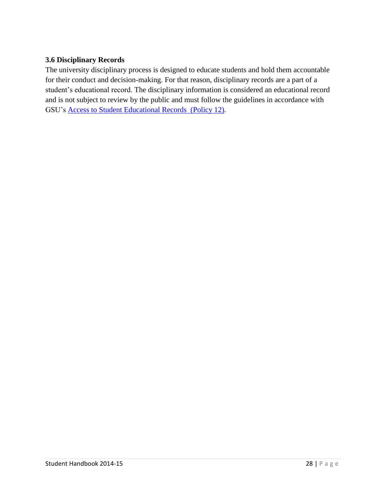#### **3.6 Disciplinary Records**

The university disciplinary process is designed to educate students and hold them accountable for their conduct and decision-making. For that reason, disciplinary records are a part of a student's educational record. The disciplinary information is considered an educational record and is not subject to review by the public and must follow the guidelines in accordance with GSU's Access to [Student Educational Records \(Policy 12\)](http://www.govst.edu/policies/).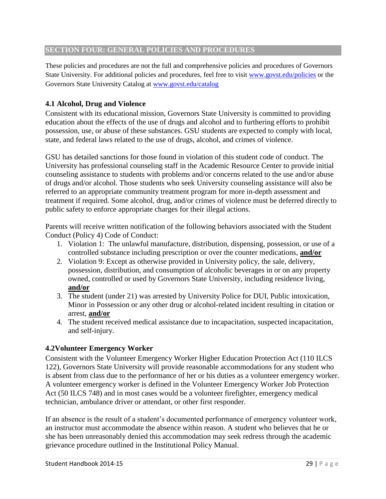#### **SECTION FOUR: GENERAL POLICIES AND PROCEDURES**

These policies and procedures are not the full and comprehensive policies and procedures of Governors State University. For additional policies and procedures, feel free to visit [www.govst.edu/policies](http://www.govst.edu/policies) or the Governors State University Catalog at [www.govst.edu/catalog](http://www.govst.edu/catalog)

## **4.1 Alcohol, Drug and Violence**

Consistent with its educational mission, Governors State University is committed to providing education about the effects of the use of drugs and alcohol and to furthering efforts to prohibit possession, use, or abuse of these substances. GSU students are expected to comply with local, state, and federal laws related to the use of drugs, alcohol, and crimes of violence.

GSU has detailed sanctions for those found in violation of this student code of conduct. The University has professional counseling staff in the Academic Resource Center to provide initial counseling assistance to students with problems and/or concerns related to the use and/or abuse of drugs and/or alcohol. Those students who seek University counseling assistance will also be referred to an appropriate community treatment program for more in-depth assessment and treatment if required. Some alcohol, drug, and/or crimes of violence must be deferred directly to public safety to enforce appropriate charges for their illegal actions.

Parents will receive written notification of the following behaviors associated with the Student Conduct (Policy 4) Code of Conduct:

- 1. Violation 1: The unlawful manufacture, distribution, dispensing, possession, or use of a controlled substance including prescription or over the counter medications, **and/or**
- 2. Violation 9: Except as otherwise provided in University policy, the sale, delivery, possession, distribution, and consumption of alcoholic beverages in or on any property owned, controlled or used by Governors State University, including residence living, **and/or**
- 3. The student (under 21) was arrested by University Police for DUI, Public intoxication, Minor in Possession or any other drug or alcohol-related incident resulting in citation or arrest, **and/or**
- 4. The student received medical assistance due to incapacitation, suspected incapacitation, and self-injury.

#### **4.2Volunteer Emergency Worker**

Consistent with the Volunteer Emergency Worker Higher Education Protection Act (110 ILCS 122), Governors State University will provide reasonable accommodations for any student who is absent from class due to the performance of her or his duties as a volunteer emergency worker. A volunteer emergency worker is defined in the Volunteer Emergency Worker Job Protection Act (50 ILCS 748) and in most cases would be a volunteer firefighter, emergency medical technician, ambulance driver or attendant, or other first responder.

If an absence is the result of a student's documented performance of emergency volunteer work, an instructor must accommodate the absence within reason. A student who believes that he or she has been unreasonably denied this accommodation may seek redress through the academic grievance procedure outlined in the Institutional Policy Manual.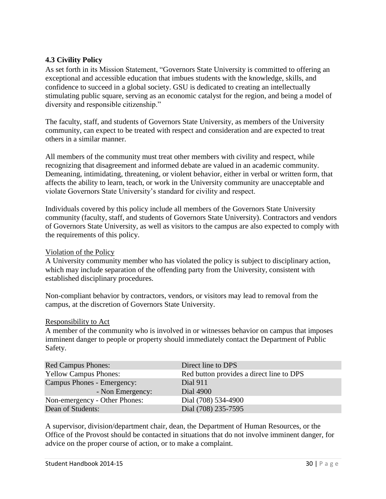#### **4.3 Civility Policy**

As set forth in its Mission Statement, "Governors State University is committed to offering an exceptional and accessible education that imbues students with the knowledge, skills, and confidence to succeed in a global society. GSU is dedicated to creating an intellectually stimulating public square, serving as an economic catalyst for the region, and being a model of diversity and responsible citizenship."

The faculty, staff, and students of Governors State University, as members of the University community, can expect to be treated with respect and consideration and are expected to treat others in a similar manner.

All members of the community must treat other members with civility and respect, while recognizing that disagreement and informed debate are valued in an academic community. Demeaning, intimidating, threatening, or violent behavior, either in verbal or written form, that affects the ability to learn, teach, or work in the University community are unacceptable and violate Governors State University's standard for civility and respect.

Individuals covered by this policy include all members of the Governors State University community (faculty, staff, and students of Governors State University). Contractors and vendors of Governors State University, as well as visitors to the campus are also expected to comply with the requirements of this policy.

#### Violation of the Policy

A University community member who has violated the policy is subject to disciplinary action, which may include separation of the offending party from the University, consistent with established disciplinary procedures.

Non-compliant behavior by contractors, vendors, or visitors may lead to removal from the campus, at the discretion of Governors State University.

#### Responsibility to Act

A member of the community who is involved in or witnesses behavior on campus that imposes imminent danger to people or property should immediately contact the Department of Public Safety.

| Direct line to DPS                       |
|------------------------------------------|
| Red button provides a direct line to DPS |
| Dial 911                                 |
| Dial 4900                                |
| Dial (708) 534-4900                      |
| Dial (708) 235-7595                      |
|                                          |

A supervisor, division/department chair, dean, the Department of Human Resources, or the Office of the Provost should be contacted in situations that do not involve imminent danger, for advice on the proper course of action, or to make a complaint.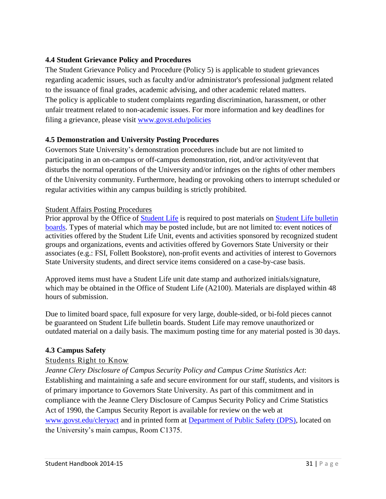#### **4.4 Student Grievance Policy and Procedures**

The Student Grievance Policy and Procedure (Policy 5) is applicable to student grievances regarding academic issues, such as faculty and/or administrator's professional judgment related to the issuance of final grades, academic advising, and other academic related matters. The policy is applicable to student complaints regarding discrimination, harassment, or other unfair treatment related to non-academic issues. For more information and key deadlines for filing a grievance, please visit [www.govst.edu/policies](http://www.govst.edu/policies)

## **4.5 Demonstration and University Posting Procedures**

Governors State University's demonstration procedures include but are not limited to participating in an on-campus or off-campus demonstration, riot, and/or activity/event that disturbs the normal operations of the University and/or infringes on the rights of other members of the University community. Furthermore, heading or provoking others to interrupt scheduled or regular activities within any campus building is strictly prohibited.

#### Student Affairs Posting Procedures

Prior approval by the Office of [Student Life](http://www.govst.edu/Campus_Life/Student_Life/) is required to post materials on Student Life bulletin [boards.](http://www.govst.edu/uploadedFiles/Campus_LIfe/Financial_Aid/FA_Inside_Pages/2013-2014%20Student%20Org%20Resource%20Manual.pdf) Types of material which may be posted include, but are not limited to: event notices of activities offered by the Student Life Unit, events and activities sponsored by recognized student groups and organizations, events and activities offered by Governors State University or their associates (e.g.: FSI, Follett Bookstore), non-profit events and activities of interest to Governors State University students, and direct service items considered on a case-by-case basis.

Approved items must have a Student Life unit date stamp and authorized initials/signature, which may be obtained in the Office of Student Life (A2100). Materials are displayed within 48 hours of submission.

Due to limited board space, full exposure for very large, double-sided, or bi-fold pieces cannot be guaranteed on Student Life bulletin boards. Student Life may remove unauthorized or outdated material on a daily basis. The maximum posting time for any material posted is 30 days.

#### **4.3 Campus Safety**

#### Students Right to Know

*Jeanne Clery Disclosure of Campus Security Policy and Campus Crime Statistics Act*: Establishing and maintaining a safe and secure environment for our staff, students, and visitors is of primary importance to Governors State University. As part of this commitment and in compliance with the Jeanne Clery Disclosure of Campus Security Policy and Crime Statistics Act of 1990, the Campus Security Report is available for review on the web at [www.govst.edu/cleryact](http://www.govst.edu/cleryact) and in printed form at [Department of Public Safety \(DPS\),](http://www.govst.edu/Campus_Life/Campus_Safety/Police_Services/) located on the University's main campus, Room C1375.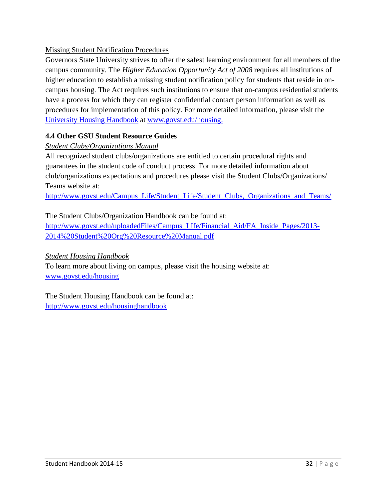## Missing Student Notification Procedures

Governors State University strives to offer the safest learning environment for all members of the campus community. The *Higher Education Opportunity Act of 2008* requires all institutions of higher education to establish a missing student notification policy for students that reside in oncampus housing. The Act requires such institutions to ensure that on-campus residential students have a process for which they can register confidential contact person information as well as procedures for implementation of this policy. For more detailed information, please visit the University [Housing Handbook](http://www.govst.edu/uploadedFiles/Campus_LIfe/Student_Activities(1)/Student_Activities_Inside_Pages/2014-15%20University%20Housing%20Handbook%20FINAL.pdf) at [www.govst.edu/housing.](http://www.govst.edu/housing)

## **4.4 Other GSU Student Resource Guides**

## *Student Clubs/Organizations Manual*

All recognized student clubs/organizations are entitled to certain procedural rights and guarantees in the student code of conduct process. For more detailed information about club/organizations expectations and procedures please visit the Student Clubs/Organizations/ Teams website at:

http://www.govst.edu/Campus\_Life/Student\_Life/Student\_Clubs,\_Organizations\_and\_Teams/

## The Student Clubs/Organization Handbook can be found at:

[http://www.govst.edu/uploadedFiles/Campus\\_LIfe/Financial\\_Aid/FA\\_Inside\\_Pages/2013-](http://www.govst.edu/uploadedFiles/Campus_LIfe/Financial_Aid/FA_Inside_Pages/2013-2014%20Student%20Org%20Resource%20Manual.pdf) [2014%20Student%20Org%20Resource%20Manual.pdf](http://www.govst.edu/uploadedFiles/Campus_LIfe/Financial_Aid/FA_Inside_Pages/2013-2014%20Student%20Org%20Resource%20Manual.pdf)

#### *Student Housing Handbook*

To learn more about living on campus, please visit the housing website at: [www.govst.edu/housing](http://www.govst.edu/housing)

The Student Housing Handbook can be found at: <http://www.govst.edu/housinghandbook>